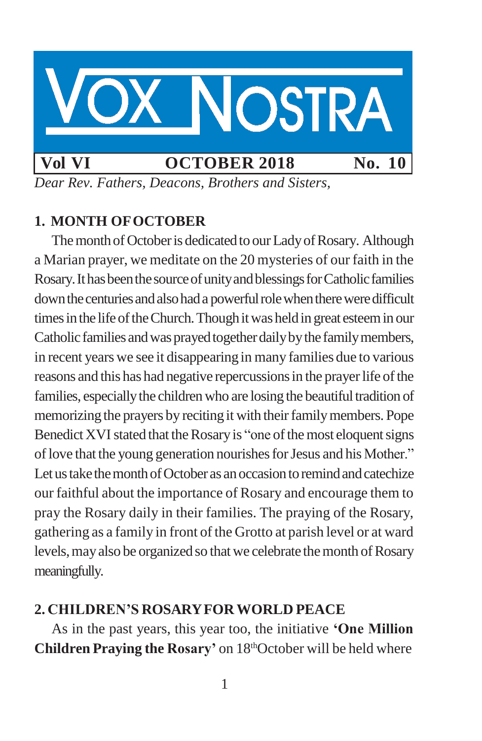

*Dear Rev. Fathers, Deacons, Brothers and Sisters,*

## **1. MONTH OFOCTOBER**

The month of October is dedicated to our Lady of Rosary. Although a Marian prayer, we meditate on the 20 mysteries of our faith in the Rosary. It has been the source of unity and blessings for Catholic families down the centuries and also had a powerful role when there were difficult times in the life of the Church. Though it was held in great esteem in our Catholic families and was prayed together daily by the family members, in recent years we see it disappearing in many families due to various reasons and this has had negative repercussions in the prayer life of the families, especially the children who are losing the beautiful tradition of memorizing the prayers by reciting it with their family members. Pope Benedict XVI stated that the Rosary is "one of the most eloquent signs of love that the young generation nourishes for Jesus and his Mother." Let us take the month of October as an occasion to remind and catechize our faithful about the importance of Rosary and encourage them to pray the Rosary daily in their families. The praying of the Rosary, gathering as a family in front of the Grotto at parish level or at ward levels, may also be organized so that we celebrate the month of Rosary meaningfully.

### **2. CHILDREN'S ROSARYFORWORLD PEACE**

As in the past years, this year too, the initiative **'One Million Children Praying the Rosary'** on 18<sup>th</sup>October will be held where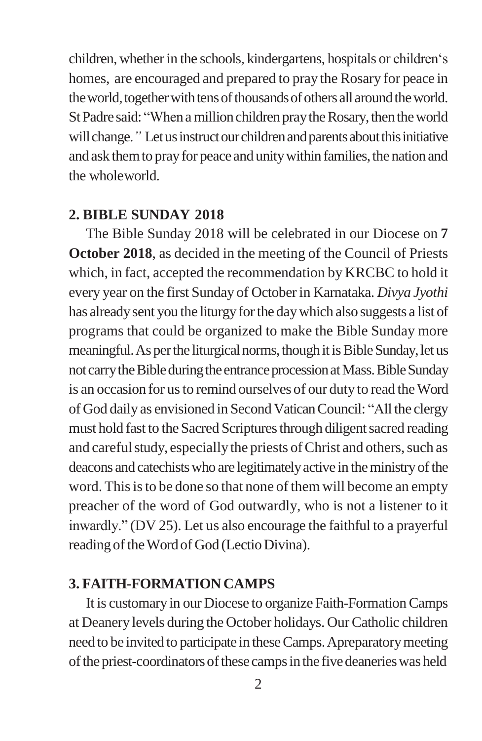children, whether in the schools, kindergartens, hospitals or children's homes, are encouraged and prepared to pray the Rosary for peace in the world, together with tens of thousands of others all around the world. St Padre said: "When a million children pray the Rosary, then the world will change." Let us instruct our children and parents about this initiative and ask them to pray for peace and unity within families, the nation and the wholeworld.

#### **2. BIBLE SUNDAY 2018**

The Bible Sunday 2018 will be celebrated in our Diocese on **7 October 2018**, as decided in the meeting of the Council of Priests which, in fact, accepted the recommendation by KRCBC to hold it every year on the first Sunday of Octoberin Karnataka. *Divya Jyothi*  has already sent you the liturgy for the day which also suggests a list of programs that could be organized to make the Bible Sunday more meaningful. As per the liturgical norms, though it is Bible Sunday, let us not carry the Bible during the entrance procession at Mass. Bible Sunday is an occasion for us to remind ourselves of our duty to read the Word of God daily as envisioned in SecondVaticanCouncil: "All the clergy must hold fast to the Sacred Scriptures through diligent sacred reading and careful study, especially the priests of Christ and others, such as deacons and catechists who are legitimately active in the ministry of the word. This is to be done so that none of them will become an empty preacher of the word of God outwardly, who is not a listener to it inwardly." (DV 25). Let us also encourage the faithful to a prayerful reading of the Word of God (Lectio Divina).

#### **3. FAITH-FORMATION CAMPS**

It is customaryin our Diocese to organize Faith-FormationCamps at Deanery levels during the October holidays. OurCatholic children need to be invited to participate in these Camps. Apreparatory meeting of the priest-coordinators of these camps in the five deaneries was held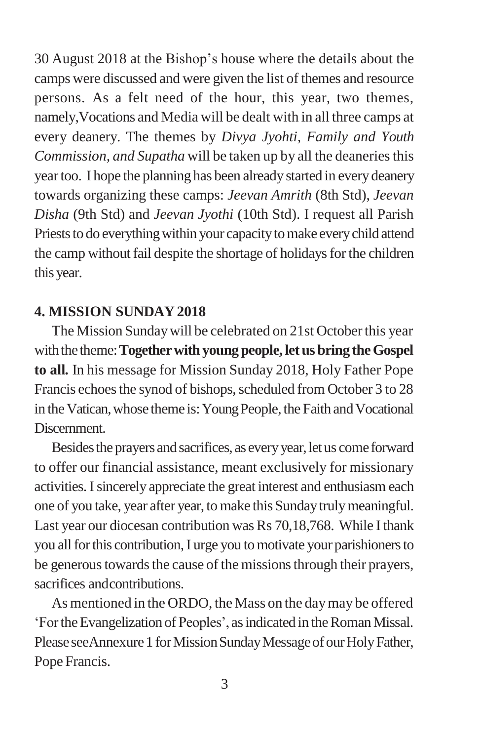30 August 2018 at the Bishop"s house where the details about the camps were discussed and were given the list of themes and resource persons. As a felt need of the hour, this year, two themes, namely,Vocations and Media will be dealt with in all three camps at every deanery. The themes by *Divya Jyohti, Family and Youth Commission, and Supatha* will be taken up by all the deaneries this yeartoo. I hope the planning has been already started in every deanery towards organizing these camps: *Jeevan Amrith* (8th Std), *Jeevan Disha* (9th Std) and *Jeevan Jyothi* (10th Std). I request all Parish Priests to do everything within your capacity to make every child attend the camp without fail despite the shortage of holidays for the children this year.

### **4. MISSION SUNDAY 2018**

The Mission Sundaywill be celebrated on 21st Octoberthis year with the theme: **Together with young people, let us bring the Gospel to all***.* In his message for Mission Sunday 2018, Holy Father Pope Francis echoes the synod of bishops, scheduled from October 3 to 28 in the Vatican, whose theme is: Young People, the Faith and Vocational Discernment.

Besides the prayers and sacrifices, as every year, let us come forward to offer our financial assistance, meant exclusively for missionary activities.Isincerely appreciate the great interest and enthusiasm each one of you take, year after year, to make this Sundaytrulymeaningful. Last year our diocesan contribution was Rs 70,18,768. While I thank you all for this contribution, I urge you to motivate your parishioners to be generous towards the cause of the missions through their prayers, sacrifices andcontributions.

As mentioned in the ORDO, the Mass on the daymay be offered "FortheEvangelization of Peoples", asindicated in theRomanMissal. Please seeAnnexure 1 for Mission Sunday Message of our Holy Father, Pope Francis.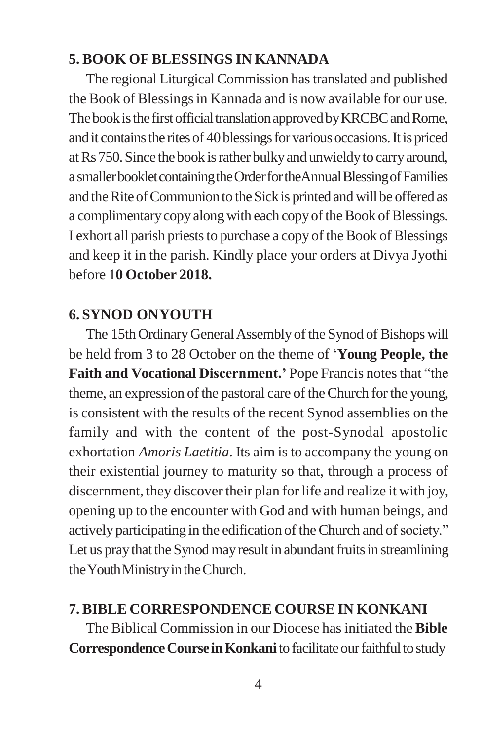### **5. BOOK OF BLESSINGS IN KANNADA**

The regional Liturgical Commission hastranslated and published the Book of Blessings in Kannada and is now available for our use. The book is the first official translation approved by KRCBC and Rome, and it contains the rites of 40 blessings for various occasions. It is priced atRs 750.Since the book israther bulkyand unwieldyto carryaround, a smaller booklet containing the Order for the Annual Blessing of Families and the Rite of Communion to the Sick is printed and will be offered as a complimentary copy along with each copy of the Book of Blessings. I exhort all parish priests to purchase a copy of the Book of Blessings and keep it in the parish. Kindly place your orders at Divya Jyothi before 1**0 October 2018.**

### **6. SYNOD ONYOUTH**

The 15th Ordinary General Assembly of the Synod of Bishops will be held from 3 to 28 October on the theme of "**Young People, the Faith and Vocational Discernment.'** Pope Francis notesthat "the theme, an expression of the pastoral care of theChurch for the young, is consistent with the results of the recent Synod assemblies on the family and with the content of the post-Synodal apostolic exhortation *Amoris Laetitia*. Its aim is to accompany the young on their existential journey to maturity so that, through a process of discernment, they discover their plan for life and realize it with joy, opening up to the encounter with God and with human beings, and actively participating in the edification of the Church and of society." Let us pray that the Synod may result in abundant fruits in streamlining the Youth Ministry in the Church.

### **7. BIBLE CORRESPONDENCE COURSE IN KONKANI**

The Biblical Commission in our Diocese hasinitiated the **Bible Correspondence Course in Konkani** to facilitate our faithful to study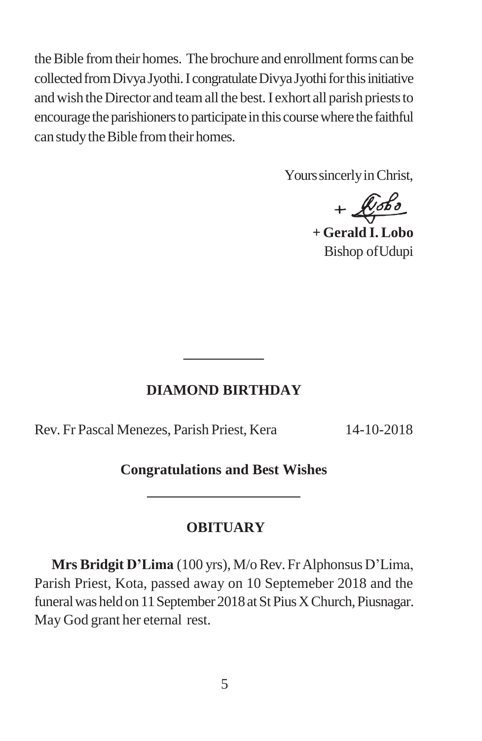the Bible from their homes. The brochure and enrollment forms can be collected from Divya Jyothi. I congratulate Divya Jyothi for this initiative and wish the Director and team all the best. I exhort all parish priests to encourage the parishioners to participate in this course where the faithful can study the Bible from their homes.

Yours sincerly in Christ,

 $+$  $x$ 

**+ Gerald I. Lobo** Bishop ofUdupi

#### **DIAMOND BIRTHDAY**

Rev. Fr Pascal Menezes, Parish Priest, Kera 14-10-2018

**Congratulations and Best Wishes**

#### **OBITUARY**

**Mrs Bridgit D'Lima** (100 yrs), M/oRev. Fr Alphonsus D"Lima, Parish Priest, Kota, passed away on 10 Septemeber 2018 and the funeral was held on 11 September 2018 at St Pius X Church, Piusnagar. May God grant her eternal rest.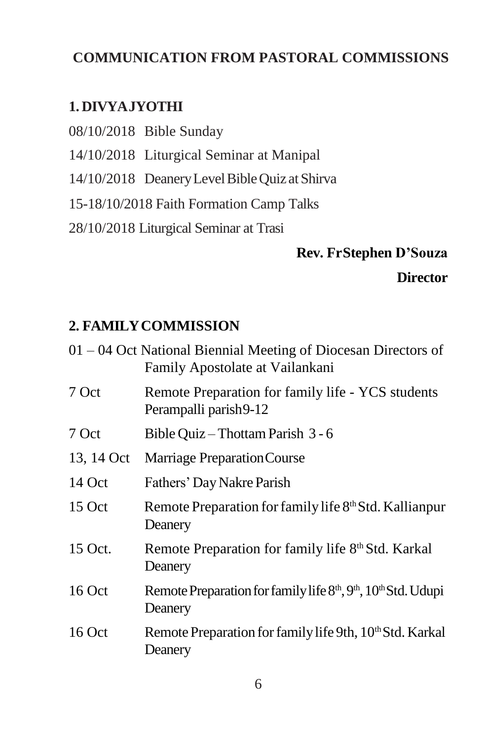## **COMMUNICATION FROM PASTORAL COMMISSIONS**

## **1. DIVYAJYOTHI**

- 08/10/2018 Bible Sunday
- 14/10/2018 Liturgical Seminar at Manipal
- 14/10/2018 DeaneryLevelBibleQuiz at Shirva
- 15-18/10/2018 Faith Formation Camp Talks
- 28/10/2018 Liturgical Seminar at Trasi

# **Rev. FrStephen D'Souza Director**

## **2. FAMILYCOMMISSION**

| 01 – 04 Oct National Biennial Meeting of Diocesan Directors of<br>Family Apostolate at Vailankani             |
|---------------------------------------------------------------------------------------------------------------|
| Remote Preparation for family life - YCS students<br>Perampalli parish9-12                                    |
| Bible Quiz – Thottam Parish 3 - 6                                                                             |
| Marriage Preparation Course                                                                                   |
| Fathers' Day Nakre Parish                                                                                     |
| Remote Preparation for family life 8th Std. Kallianpur<br>Deanery                                             |
| Remote Preparation for family life 8th Std. Karkal<br>Deanery                                                 |
| Remote Preparation for family life 8 <sup>th</sup> , 9 <sup>th</sup> , 10 <sup>th</sup> Std. Udupi<br>Deanery |
| Remote Preparation for family life 9th, 10 <sup>th</sup> Std. Karkal<br>Deanery                               |
|                                                                                                               |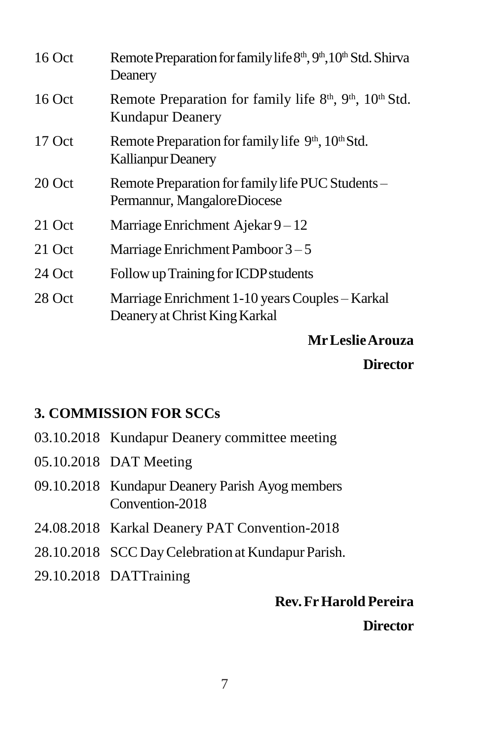| $16$ Oct | Remote Preparation for family life 8th, 9th, 10th Std. Shirva<br>Deanery                                                |
|----------|-------------------------------------------------------------------------------------------------------------------------|
| $16$ Oct | Remote Preparation for family life 8 <sup>th</sup> , 9 <sup>th</sup> , 10 <sup>th</sup> Std.<br><b>Kundapur Deanery</b> |
| $17$ Oct | Remote Preparation for family life 9 <sup>th</sup> , 10 <sup>th</sup> Std.<br><b>Kallianpur Deanery</b>                 |
| 20 Oct   | Remote Preparation for family life PUC Students -<br>Permannur, MangaloreDiocese                                        |
| 21 Oct   | Marriage Enrichment Ajekar $9-12$                                                                                       |
| 21 Oct   | Marriage Enrichment Pamboor $3-5$                                                                                       |
| 24 Oct   | Follow up Training for ICDP students                                                                                    |
| 28 Oct   | Marriage Enrichment 1-10 years Couples – Karkal<br>Deanery at Christ King Karkal                                        |

**MrLeslieArouza**

**Director**

## **3. COMMISSION FOR SCCs**

- 03.10.2018 Kundapur Deanery committee meeting
- 05.10.2018 DAT Meeting
- 09.10.2018 Kundapur Deanery Parish Ayog members Convention-2018
- 24.08.2018 Karkal Deanery PAT Convention-2018
- 28.10.2018 SCC Day Celebration at Kundapur Parish.
- 29.10.2018 DATTraining

## **Rev.FrHarold Pereira**

**Director**